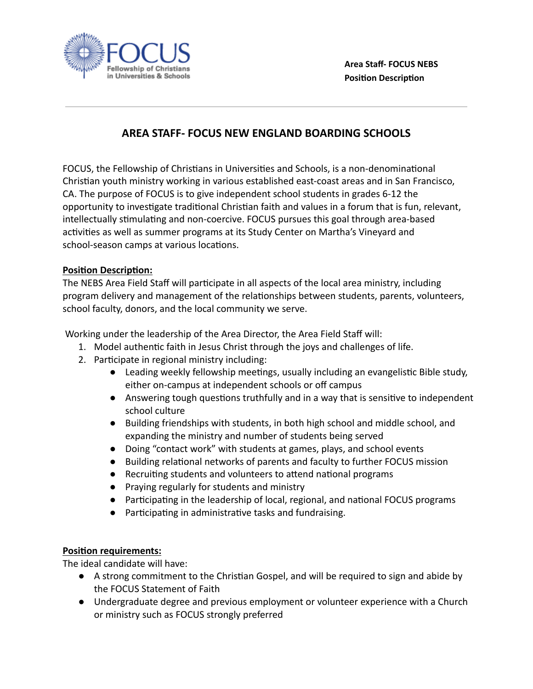

## **AREA STAFF- FOCUS NEW ENGLAND BOARDING SCHOOLS**

FOCUS, the Fellowship of Christians in Universities and Schools, is a non-denominational Christian youth ministry working in various established east-coast areas and in San Francisco, CA. The purpose of FOCUS is to give independent school students in grades 6-12 the opportunity to investigate traditional Christian faith and values in a forum that is fun, relevant, intellectually stimulating and non-coercive. FOCUS pursues this goal through area-based activities as well as summer programs at its Study Center on Martha's Vineyard and school-season camps at various locations.

## **Position Description:**

The NEBS Area Field Staff will participate in all aspects of the local area ministry, including program delivery and management of the relationships between students, parents, volunteers, school faculty, donors, and the local community we serve.

Working under the leadership of the Area Director, the Area Field Staff will:

- 1. Model authentic faith in Jesus Christ through the joys and challenges of life.
- 2. Participate in regional ministry including:
	- Leading weekly fellowship meetings, usually including an evangelistic Bible study, either on-campus at independent schools or off campus
	- Answering tough questions truthfully and in a way that is sensitive to independent school culture
	- Building friendships with students, in both high school and middle school, and expanding the ministry and number of students being served
	- Doing "contact work" with students at games, plays, and school events
	- Building relational networks of parents and faculty to further FOCUS mission
	- $\bullet$  Recruiting students and volunteers to attend national programs
	- Praying regularly for students and ministry
	- Participating in the leadership of local, regional, and national FOCUS programs
	- Participating in administrative tasks and fundraising.

## **Position requirements:**

The ideal candidate will have:

- A strong commitment to the Christian Gospel, and will be required to sign and abide by the FOCUS Statement of Faith
- Undergraduate degree and previous employment or volunteer experience with a Church or ministry such as FOCUS strongly preferred